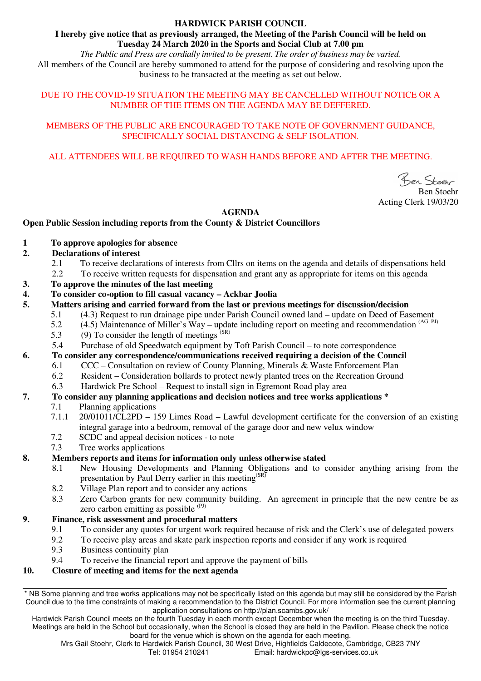#### **HARDWICK PARISH COUNCIL**

**I hereby give notice that as previously arranged, the Meeting of the Parish Council will be held on Tuesday 24 March 2020 in the Sports and Social Club at 7.00 pm** 

*The Public and Press are cordially invited to be present. The order of business may be varied.*  All members of the Council are hereby summoned to attend for the purpose of considering and resolving upon the business to be transacted at the meeting as set out below.

#### DUE TO THE COVID-19 SITUATION THE MEETING MAY BE CANCELLED WITHOUT NOTICE OR A NUMBER OF THE ITEMS ON THE AGENDA MAY BE DEFFERED.

### MEMBERS OF THE PUBLIC ARE ENCOURAGED TO TAKE NOTE OF GOVERNMENT GUIDANCE, SPECIFICALLY SOCIAL DISTANCING & SELF ISOLATION.

## ALL ATTENDEES WILL BE REQUIRED TO WASH HANDS BEFORE AND AFTER THE MEETING.

Ben Stoehr Ben Stoehr

Acting Clerk 19/03/20

#### **AGENDA**

### **Open Public Session including reports from the County & District Councillors**

**1** To approve apologies for absence<br> **2.** Declarations of interest

### **2. Declarations of interest**

- 2.1 To receive declarations of interests from Cllrs on items on the agenda and details of dispensations held
- 2.2 To receive written requests for dispensation and grant any as appropriate for items on this agenda
- **3. To approve the minutes of the last meeting**
- **4. To consider co-option to fill casual vacancy Ackbar Joolia**
- **5. Matters arising and carried forward from the last or previous meetings for discussion/decision** 
	- 5.1 (4.3) Request to run drainage pipe under Parish Council owned land update on Deed of Easement
	- 5.2 (4.5) Maintenance of Miller's Way update including report on meeting and recommendation  $(A, G, PJ)$
	- 5.3 (9) To consider the length of meetings  $(SR)$
	- 5.4 Purchase of old Speedwatch equipment by Toft Parish Council to note correspondence

#### **6. To consider any correspondence/communications received requiring a decision of the Council**

- 
- 6.1 CCC Consultation on review of County Planning, Minerals & Waste Enforcement Plan<br>6.2 Resident Consideration bollards to protect newly planted trees on the Recreation Ground Resident – Consideration bollards to protect newly planted trees on the Recreation Ground
- 6.3 Hardwick Pre School Request to install sign in Egremont Road play area

#### **7. To consider any planning applications and decision notices and tree works applications \***

- 7.1 Planning applications
- 7.1.1 20/01011/CL2PD 159 Limes Road Lawful development certificate for the conversion of an existing integral garage into a bedroom, removal of the garage door and new velux window
- 7.2 SCDC and appeal decision notices to note
- 7.3 Tree works applications

#### **8. Members reports and items for information only unless otherwise stated**

- 8.1 New Housing Developments and Planning Obligations and to consider anything arising from the presentation by Paul Derry earlier in this meeting<sup>(SR)</sup>
- 8.2 Village Plan report and to consider any actions
- 8.3 Zero Carbon grants for new community building. An agreement in principle that the new centre be as zero carbon emitting as possible (PJ)

### **9. Finance, risk assessment and procedural matters**

- 9.1 To consider any quotes for urgent work required because of risk and the Clerk's use of delegated powers
- 9.2 To receive play areas and skate park inspection reports and consider if any work is required
- 9.3 Business continuity plan
- 9.4 To receive the financial report and approve the payment of bills

#### **10. Closure of meeting and items for the next agenda**

\* NB Some planning and tree works applications may not be specifically listed on this agenda but may still be considered by the Parish Council due to the time constraints of making a recommendation to the District Council. For more information see the current planning application consultations on http://plan.scambs.gov.uk/

Hardwick Parish Council meets on the fourth Tuesday in each month except December when the meeting is on the third Tuesday. Meetings are held in the School but occasionally, when the School is closed they are held in the Pavilion. Please check the notice board for the venue which is shown on the agenda for each meeting.

Mrs Gail Stoehr, Clerk to Hardwick Parish Council, 30 West Drive, Highfields Caldecote, Cambridge, CB23 7NY<br>Email: hardwickpc@lgs-services.co.uk Email: hardwickpc@lgs-services.co.uk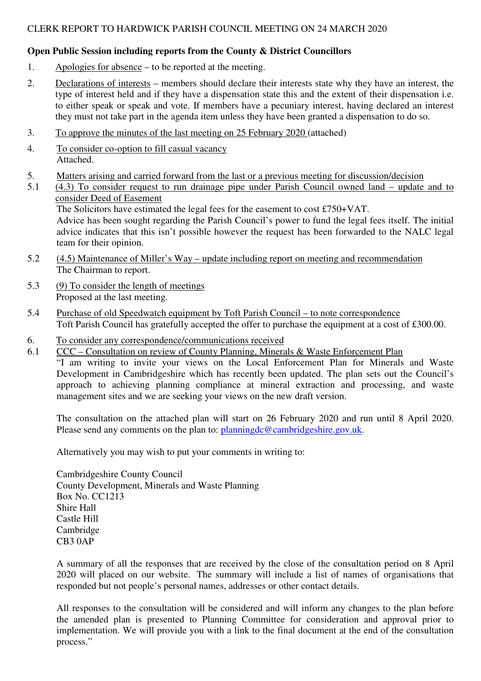# **Open Public Session including reports from the County & District Councillors**

- 1. Apologies for absence to be reported at the meeting.
- 2. Declarations of interests members should declare their interests state why they have an interest, the type of interest held and if they have a dispensation state this and the extent of their dispensation i.e. to either speak or speak and vote. If members have a pecuniary interest, having declared an interest they must not take part in the agenda item unless they have been granted a dispensation to do so.
- 3. To approve the minutes of the last meeting on 25 February 2020 (attached)
- 4. To consider co-option to fill casual vacancy Attached.
- 5. Matters arising and carried forward from the last or a previous meeting for discussion/decision
- 5.1 (4.3) To consider request to run drainage pipe under Parish Council owned land update and to consider Deed of Easement The Solicitors have estimated the legal fees for the easement to cost £750+VAT. Advice has been sought regarding the Parish Council's power to fund the legal fees itself. The initial advice indicates that this isn't possible however the request has been forwarded to the NALC legal team for their opinion.
- 5.2 (4.5) Maintenance of Miller's Way update including report on meeting and recommendation The Chairman to report.
- 5.3 (9) To consider the length of meetings Proposed at the last meeting.
- 5.4 Purchase of old Speedwatch equipment by Toft Parish Council to note correspondence Toft Parish Council has gratefully accepted the offer to purchase the equipment at a cost of £300.00.
- 6. To consider any correspondence/communications received
- 6.1 CCC Consultation on review of County Planning, Minerals & Waste Enforcement Plan "I am writing to invite your views on the Local Enforcement Plan for Minerals and Waste Development in Cambridgeshire which has recently been updated. The plan sets out the Council's approach to achieving planning compliance at mineral extraction and processing, and waste management sites and we are seeking your views on the new draft version.

The consultation on the attached plan will start on 26 February 2020 and run until 8 April 2020. Please send any comments on the plan to: planningdc@cambridgeshire.gov.uk.

Alternatively you may wish to put your comments in writing to:

 Cambridgeshire County Council County Development, Minerals and Waste Planning Box No. CC1213 Shire Hall Castle Hill Cambridge CB3 0AP

 A summary of all the responses that are received by the close of the consultation period on 8 April 2020 will placed on our website. The summary will include a list of names of organisations that responded but not people's personal names, addresses or other contact details.

 All responses to the consultation will be considered and will inform any changes to the plan before the amended plan is presented to Planning Committee for consideration and approval prior to implementation. We will provide you with a link to the final document at the end of the consultation process."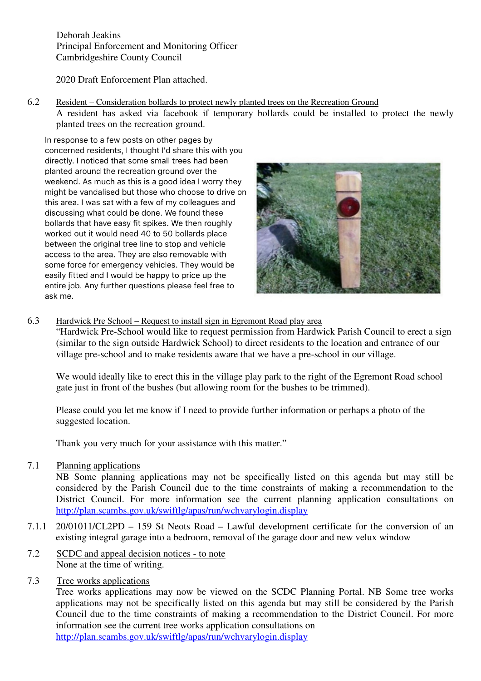Deborah Jeakins Principal Enforcement and Monitoring Officer Cambridgeshire County Council

# 2020 Draft Enforcement Plan attached.

6.2 Resident – Consideration bollards to protect newly planted trees on the Recreation Ground A resident has asked via facebook if temporary bollards could be installed to protect the newly planted trees on the recreation ground.

In response to a few posts on other pages by concerned residents, I thought I'd share this with you directly. I noticed that some small trees had been planted around the recreation ground over the weekend. As much as this is a good idea I worry they might be vandalised but those who choose to drive on this area. I was sat with a few of my colleagues and discussing what could be done. We found these bollards that have easy fit spikes. We then roughly worked out it would need 40 to 50 bollards place between the original tree line to stop and vehicle access to the area. They are also removable with some force for emergency vehicles. They would be easily fitted and I would be happy to price up the entire job. Any further questions please feel free to ask me.



## 6.3 Hardwick Pre School – Request to install sign in Egremont Road play area

"Hardwick Pre-School would like to request permission from Hardwick Parish Council to erect a sign (similar to the sign outside Hardwick School) to direct residents to the location and entrance of our village pre-school and to make residents aware that we have a pre-school in our village.

We would ideally like to erect this in the village play park to the right of the Egremont Road school gate just in front of the bushes (but allowing room for the bushes to be trimmed).

Please could you let me know if I need to provide further information or perhaps a photo of the suggested location.

Thank you very much for your assistance with this matter."

#### 7.1 Planning applications

NB Some planning applications may not be specifically listed on this agenda but may still be considered by the Parish Council due to the time constraints of making a recommendation to the District Council. For more information see the current planning application consultations on http://plan.scambs.gov.uk/swiftlg/apas/run/wchvarylogin.display

- 7.1.1 20/01011/CL2PD 159 St Neots Road Lawful development certificate for the conversion of an existing integral garage into a bedroom, removal of the garage door and new velux window
- 7.2 SCDC and appeal decision notices to note None at the time of writing.
- 7.3 Tree works applications

Tree works applications may now be viewed on the SCDC Planning Portal. NB Some tree works applications may not be specifically listed on this agenda but may still be considered by the Parish Council due to the time constraints of making a recommendation to the District Council. For more information see the current tree works application consultations on http://plan.scambs.gov.uk/swiftlg/apas/run/wchvarylogin.display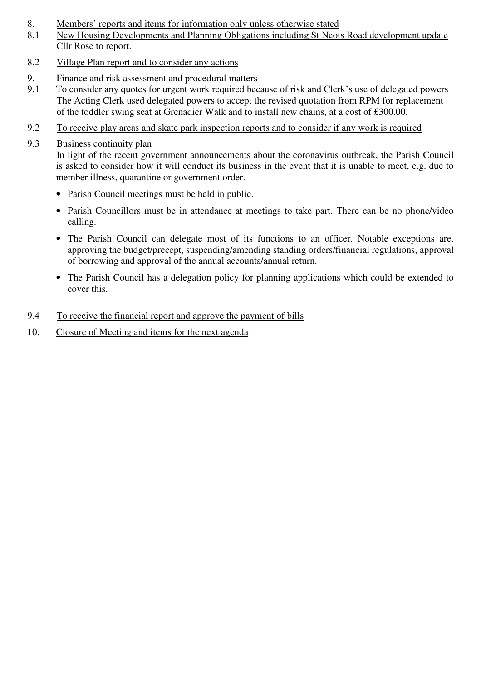- 8. Members' reports and items for information only unless otherwise stated
- 8.1 New Housing Developments and Planning Obligations including St Neots Road development update Cllr Rose to report.
- 8.2 Village Plan report and to consider any actions
- 9. Finance and risk assessment and procedural matters
- 9.1 To consider any quotes for urgent work required because of risk and Clerk's use of delegated powers The Acting Clerk used delegated powers to accept the revised quotation from RPM for replacement of the toddler swing seat at Grenadier Walk and to install new chains, at a cost of £300.00.
- 9.2 To receive play areas and skate park inspection reports and to consider if any work is required
- 9.3 Business continuity plan

 In light of the recent government announcements about the coronavirus outbreak, the Parish Council is asked to consider how it will conduct its business in the event that it is unable to meet, e.g. due to member illness, quarantine or government order.

- Parish Council meetings must be held in public.
- Parish Councillors must be in attendance at meetings to take part. There can be no phone/video calling.
- The Parish Council can delegate most of its functions to an officer. Notable exceptions are, approving the budget/precept, suspending/amending standing orders/financial regulations, approval of borrowing and approval of the annual accounts/annual return.
- The Parish Council has a delegation policy for planning applications which could be extended to cover this.
- 9.4 To receive the financial report and approve the payment of bills
- 10. Closure of Meeting and items for the next agenda